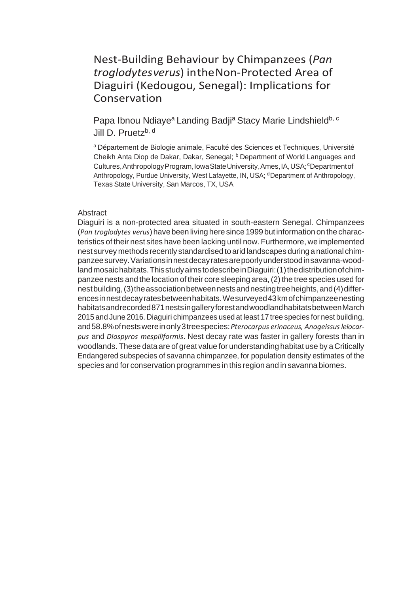# Nest-Building Behaviour by Chimpanzees (*Pan troglodytesverus*) intheNon-Protected Area of Diaguiri (Kedougou, Senegal): Implications for Conservation

Papa Ibnou Ndiaye<sup>a</sup> Landing Badji<sup>a</sup> Stacy Marie Lindshield<sup>b, c</sup> Jill D. Pruetz<sup>b, d</sup>

a Département de Biologie animale, Faculté des Sciences et Techniques, Université Cheikh Anta Diop de Dakar, Dakar, Senegal; **b** Department of World Languages and Cultures, Anthropology Program, Iowa State University, Ames, IA, USA; *C*Department of Anthropology, Purdue University, West Lafayette, IN, USA; dDepartment of Anthropology, Texas State University, San Marcos, TX, USA

# Abstract

Diaguiri is a non-protected area situated in south-eastern Senegal. Chimpanzees (*Pan troglodytes verus*)have been living heresince 1999 butinformation on the characteristics of their nest sites have been lacking until now. Furthermore, we implemented nest survey methods recently standardised to arid landscapes during a national chimpanzeesurvey.Variationsinnestdecayratesarepoorlyunderstoodinsavanna-woodland mosaichabitats. This study aims to describe in Diaguiri: (1) the distribution of chimpanzee nests and the location of their core sleeping area, (2) the tree species used for nest building, (3) the association between nests and nesting tree heights, and (4) differencesinnestdecayratesbetweenhabitats.Wesurveyed43kmofchimpanzeenesting habitatsandrecorded871nestsingalleryforestandwoodlandhabitatsbetweenMarch 2015 and June 2016. Diaguiri chimpanzees used at least 17 tree species for nest building, and58.8%ofnestswereinonly3treespecies:*Pterocarpus erinaceus, Anogeissusleiocarpus* and *Diospyros mespiliformis*. Nest decay rate was faster in gallery forests than in woodlands. These data are of great value for understanding habitat use by a Critically Endangered subspecies of savanna chimpanzee, for population density estimates of the species and for conservation programmes in this region and in savanna biomes.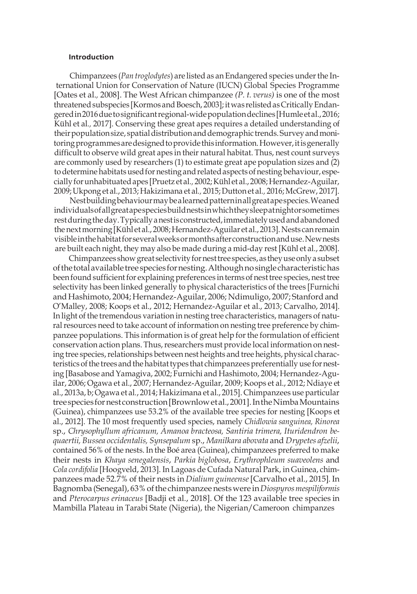## **Introduction**

Chimpanzees (*Pan troglodytes*) are listed as an Endangered species underthe International Union for Conservation of Nature (IUCN) Global Species Programme [Oates et al.*,* 2008]. The West African chimpanzee *(P. t. verus)* is one of the most threatened subspecies [Kormos and Boesch, 2003]; it was relisted as Critically Endangeredin2016duetosignificantregional-widepopulationdeclines[Humleetal.,2016; Kühl et al*.,* 2017]. Conserving these great apes requires a detailed understanding of their population size, spatial distribution and demographic trends. Survey and monitoring programmes are designed to provide this information. However, it is generally difficult to observe wild great apes in their natural habitat. Thus, nest count surveys are commonly used by researchers (1) to estimate great ape population sizes and (2) to determine habitats used for nesting and related aspects of nesting behaviour, especially for unhabituated apes [Pruetz et al., 2002; Kühl et al., 2008; Hernandez-Aguilar, 2009;Ukpong et al., 2013; Hakizimana et al*.,* 2015;Dutton et al*.,* 2016;McGrew, 2017].

Nestbuildingbehaviourmaybealearnedpatterninallgreatapespecies.Weaned individualsofallgreatapespeciesbuildnestsinwhichtheysleepatnightorsometimes restduringtheday.Typicallyanestisconstructed,immediatelyusedandabandoned the next morning [Kühl et al., 2008; Hernandez-Aguilar et al., 2013]. Nests can remain visibleinthehabitatforseveralweeksormonthsafterconstructionanduse.Newnests are built each night, they may also be made during a mid-day rest [Kühl et al., 2008].

Chimpanzees show great selectivity for nest tree species, as they use only a subset ofthetotalavailabletree species fornesting.Althoughnosinglecharacteristichas been found sufficient for explaining preferences in terms of nest tree species, nest tree selectivity has been linked generally to physical characteristics of the trees [Furnichi and Hashimoto, 2004; Hernandez-Aguilar, 2006; Ndimuligo, 2007; Stanford and O'Malley, 2008; Koops et al., 2012; Hernandez-Aguilar et al., 2013; Carvalho, 2014]. In light of the tremendous variation in nesting tree characteristics, managers of natural resources need to take account of information on nesting tree preference by chimpanzee populations. This information is of great help forthe formulation of efficient conservation action plans. Thus, researchers must provide local information on nesting tree species, relationships between nest heights and tree heights, physical characteristics of the trees and the habitat types that chimpanzees preferentially use for nesting [Basabose and Yamagiva, 2002; Furnichi and Hashimoto, 2004; Hernandez-Aguilar, 2006; Ogawa et al., 2007; Hernandez-Aguilar, 2009; Koops et al., 2012; Ndiaye et al., 2013a, b; Ogawa et al*.*, 2014; Hakizimana et al., 2015]. Chimpanzees use particular treespecies fornest construction[Brownlowetal.,2001].IntheNimbaMountains (Guinea), chimpanzees use 53.2% of the available tree species for nesting [Koops et al., 2012]. The 10 most frequently used species, namely *Chidlowia sanguinea, Rinorea*  sp., *Chrysophyllum africanum, Amanoa bracteosa, Santiria trimera, Ituridendron bequaertii, Bussea occidentalis, Synsepalum* sp., *Manilkara abovata* and *Drypetes afzelii*, contained 56% of the nests. In the Boé area (Guinea), chimpanzees preferred to make their nests in *Khaya senegalensis*, *Parkia biglobosa*, *Erythrophleum suaveolens* and *Cola cordifolia* [Hoogveld, 2013]. In Lagoas de Cufada Natural Park, in Guinea, chimpanzees made 52.7% of their nests in *Dialium guineense*[Carvalho et al., 2015]. In Bagnomba (Senegal), 63%ofthe chimpanzeenestswere in*Diospyrosmespiliformis*  and *Pterocarpus erinaceus* [Badji et al*.*, 2018]. Of the 123 available tree species in Mambilla Plateau in Tarabi State (Nigeria), the Nigerian/Cameroon chimpanzes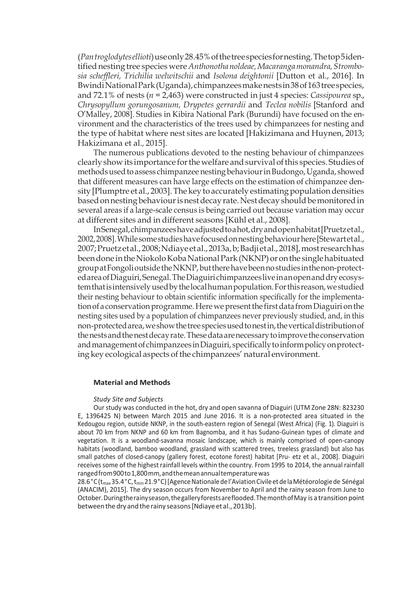(*Pantroglodytesellioti*)useonly28.45%ofthetreespeciesfornesting.Thetop5identified nesting tree species were *Anthonothanoldeae,Macarangamonandra,Strombosia scheffleri, Trichilia welwitschii* and *Isolona deightonii* [Dutton et al., 2016]. In BwindiNationalPark(Uganda), chimpanzees make nests in 38 of 163 tree species, and 72.1% of nests (*n* = 2,463) were constructed in just 4 species: *Cassipourea* sp., *Chrysopyllum gorungosanum, Drypetes gerrardii* and *Teclea nobilis* [Stanford and O'Malley, 2008]. Studies in Kibira National Park (Burundi) have focused on the environment and the characteristics of the trees used by chimpanzees for nesting and the type of habitat where nest sites are located [Hakizimana and Huynen, 2013; Hakizimana et al.*,* 2015].

The numerous publications devoted to the nesting behaviour of chimpanzees clearlyshow its importance forthewelfare andsurvival ofthis species. Studies of methods used to assess chimpanzee nesting behaviour in Budongo, Uganda, showed that different measures can have large effects on the estimation of chimpanzee density [Plumptre et al., 2003]. The key to accurately estimating population densities based on nesting behaviour is nest decay rate. Nest decay should be monitored in several areas if a large-scale census is being carried out because variation may occur at different sites and in different seasons [Kühl et al., 2008].

InSenegal,chimpanzeeshaveadjustedtoahot,dryandopenhabitat[Pruetzetal., 2002,2008].Whilesomestudieshavefocusedonnestingbehaviourhere[Stewartetal., 2007;Pruetzetal.,2008;Ndiayeetal.,2013a,b;Badji etal., 2018],mostresearchhas been done in the Niokolo Koba National Park (NKNP) or on the single habituated groupatFongolioutside theNKNP,buttherehavebeennostudies inthenon-protectedareaofDiaguiri,Senegal.TheDiaguiri chimpanzeesliveinanopenanddryecosystemthatisintensivelyusedbythelocalhumanpopulation.Forthisreason,westudied their nesting behaviour to obtain scientific information specifically for the implementation of a conservation programme. Here we present the first data from Diaguiri on the nesting sites used by a population of chimpanzees never previously studied, and, in this non-protected area, we show the tree species used to nest in, the vertical distribution of the nests and the nest decay rate. These data are necessary to improve the conservation and management of chimpanzees in Diaguiri, specifically to inform policy on protecting key ecological aspects of the chimpanzees' natural environment.

## **Material and Methods**

#### *Study Site and Subjects*

Our study was conducted in the hot, dry and open savanna of Diaguiri (UTM Zone 28N: 823230 E, 1396425 N) between March 2015 and June 2016. It is a non-protected area situated in the Kedougou region, outside NKNP, in the south-eastern region of Senegal (West Africa) (Fig. 1). Diaguiri is about 70 km from NKNP and 60 km from Bagnomba, and it has Sudano-Guinean types of climate and vegetation. It is a woodland-savanna mosaic landscape, which is mainly comprised of open-canopy habitats (woodland, bamboo woodland, grassland with scattered trees, treeless grassland) but also has small patches of closed-canopy (gallery forest, ecotone forest) habitat [Pru- etz et al., 2008]. Diaguiri receivessome of the highest rainfall levels within the country. From 1995 to 2014, the annual rainfall rangedfrom900to1,800mm,andthemeanannualtemperaturewas

28.6°C (t<sub>max</sub>35.4°C, t<sub>min</sub> 21.9°C) [Agence Nationale de l'Aviation Civile et de la Météorologie de Sénégal (ANACIM), 2015]. The dry season occurs from November to April and the rainy season from June to October.Duringtherainyseason,thegalleryforestsareflooded.ThemonthofMay is a transitionpoint betweenthedry andtherainy seasons[Ndiayeetal.,2013b].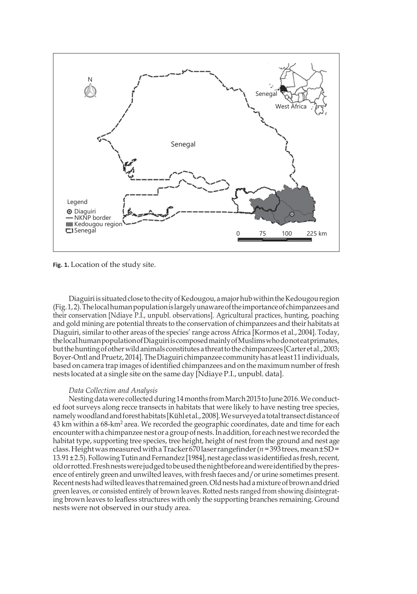

**Fig. 1.** Location of the study site.

Diaguiri is situated close to the city of Kedougou, a major hub within the Kedougou region  $(Fig.1,2)$ . The local human population is largely unaware of the importance of chimpanzees and their conservation [Ndiaye P.I., unpubl. observations]. Agricultural practices, hunting, poaching and gold mining are potential threats to the conservation of chimpanzees and their habitats at Diaguiri, similar to other areas of the species' range across Africa [Kormos et al., 2004]. Today, thelocalhumanpopulationofDiaguiriiscomposedmainlyofMuslimswhodonoteatprimates, butthehuntingofotherwildanimals constitutesathreattothe chimpanzees [Carter et al.,2003; Boyer-Ontl and Pruetz, 2014]. The Diaguiri chimpanzee community has at least 11 individuals, based on camera trap images ofidentified chimpanzees and on the maximum number of fresh nests located at a single site on the same day [Ndiaye P.I., unpubl. data].

## *Data Collection and Analysis*

Nesting data were collected during 14 months from March 2015 to June 2016. We conducted foot surveys along recce transects in habitats that were likely to have nesting tree species, namely woodland and forest habitats [Kühl et al., 2008]. We surveyed a total transect distance of 43 km within a 68-km<sup>2</sup> area. We recorded the geographic coordinates, date and time for each encounter with a chimpanzee nest or a group of nests. In addition, for each nest we recorded the habitat type, supporting tree species, tree height, height of nest from the ground and nest age class.HeightwasmeasuredwithaTracker670laserrangefinder(*n*=393trees,mean±SD=  $13.91 \pm 2.5$ ). Following Tutin and Fernandez [1984], nest age class was identified as fresh, recent, oldorrotted.Freshnestswerejudgedtobeusedthenightbeforeandwereidentifiedbythepresence of entirely green and unwilted leaves, with fresh faeces and/or urine sometimes present. Recentnestshadwiltedleaves thatremainedgreen.Oldnestshadamixture ofbrownanddried green leaves, or consisted entirely of brown leaves. Rotted nests ranged from showing disintegrating brown leaves to leafless structures with only the supporting branches remaining. Ground nests were not observed in our study area.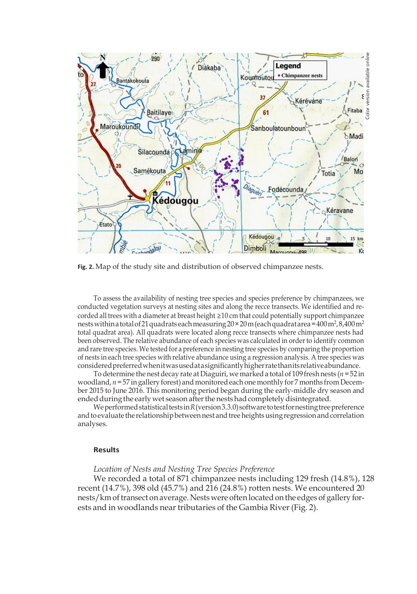

**Fig. 2.** Map of the study site and distribution of observed chimpanzee nests.

To assess the availability of nesting tree species and species preference by chimpanzees, we conducted vegetation surveys at nesting sites and along the recce transects. We identified and recorded all trees with a diameter at breast height ≥10 cm that could potentially support chimpanzee nests within a total of 21 quadrats each measuring 20 × 20 m (each quadrat area = 400 m², 8,400 m² total quadrat area). All quadrats were located along recce transects where chimpanzee nests had been observed. The relative abundance of each species was calculated in order to identify common and rare tree species. We tested for a preference in nesting tree species by comparing the proportion of nests in each tree species with relative abundance using a regression analysis. A tree species was consideredpreferredwhenitwasusedatasignificantlyhigherratethanitsrelativeabundance.

To determine the nest decay rate at Diaguiri, we marked a total of 109 fresh nests (*n* =52 in woodland, *n*=57 ingallery forest) and monitoredeach one monthly for 7 months from December 2015 to June 2016. This monitoring period began during the early-middle dry season and ended during the early wet season after the nests had completely disintegrated.

We performed statistical tests in R (version 3.3.0) software to test for nesting tree preference and to evaluate the relationship between nest and tree heights using regression and correlation analyses.

#### **Results**

*Location of Nests and Nesting Tree Species Preference*

We recorded a total of 871 chimpanzee nests including 129 fresh (14.8%), 128 recent (14.7%), 398 old (45.7%) and 216 (24.8%) rotten nests. We encountered 20 nests/km of transect on average. Nests were often located on the edges of gallery forests and in woodlands near tributaries of the Gambia River (Fig. 2).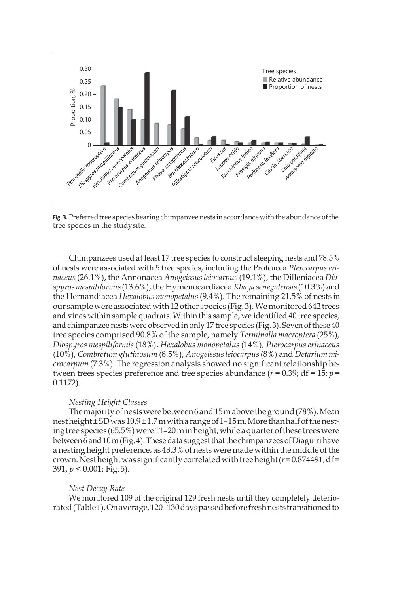

Fig. 3. Preferred tree species bearing chimpanzee nests in accordance with the abundance of the tree species in the studysite.

Chimpanzees used at least 17 tree species to construct sleeping nests and 78.5% of nests were associated with 5 tree species, including the Proteacea *Pterocarpus erinaceus*(26.1%), the Annonacea *Anogeissusleiocarpus*(19.1%), the Dilleniacea *Diospyrosmespiliformis*(13.6%), the Hymenocardiacea *Khaya senegalensis*(10.3%) and the Hernandiacea *Hexalobus monopetalus*(9.4%). The remaining 21.5% of nests in our sample were associated with 12 other species (Fig. 3). We monitored 642 trees and vines within sample quadrats. Within this sample, we identified 40 tree species, and chimpanzee nests were observed in only 17 tree species (Fig. 3). Seven of these 40 tree species comprised 90.8% of the sample, namely *Terminalia macroptera* (25%), *Diospyros mespiliformis* (18%), *Hexalobus monopetalus*(14%), *Pterocarpus erinaceus*  (10%), *Combretum glutinosum* (8.5%), *Anogeissusleiocarpus*(8%) and *Detarium microcarpum* (7.3%). The regression analysis showed no significant relationship between trees species preference and tree species abundance  $(r = 0.39; df = 15; p = 100)$ 0.1172).

# *Nesting Height Classes*

The majority of nests were between 6 and 15 m above the ground (78%). Mean nestheight±SDwas10.9±1.7mwitha rangeof1–15m.Morethanhalfofthenesting tree species (65.5%) were 11-20 m in height, while a quarter of these trees were between 6 and 10 m (Fig. 4). These data suggest that the chimpanzees of Diaguiri have a nesting height preference, as 43.3% of nests were made within the middle of the crown. Nest height was significantly correlated with tree height  $(r=0.874491, df=$ 391, *p* < 0.001; Fig. 5).

## *Nest Decay Rate*

We monitored 109 of the original 129 fresh nests until they completely deteriorated(Table1).Onaverage,120–130dayspassedbeforefreshneststransitionedto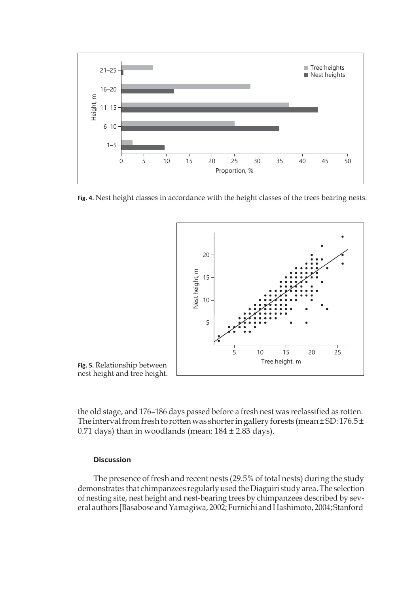

**Fig. 4.** Nest height classes in accordance with the height classes of the trees bearing nests.



**Fig. 5.** Relationship between nest height and tree height.

the old stage, and 176–186 days passed before a fresh nest was reclassified as rotten. The interval from fresh to rotten was shorter in gallery forests (mean $\pm$ SD: 176.5 $\pm$ 0.71 days) than in woodlands (mean:  $184 \pm 2.83$  days).

# **Discussion**

The presence of fresh and recent nests (29.5% of total nests) during the study demonstrates that chimpanzees regularly used the Diaguiri study area. The selection of nesting site, nest height and nest-bearing trees by chimpanzees described by several authors [Basabose and Yamagiwa, 2002; Furnichi and Hashimoto, 2004; Stanford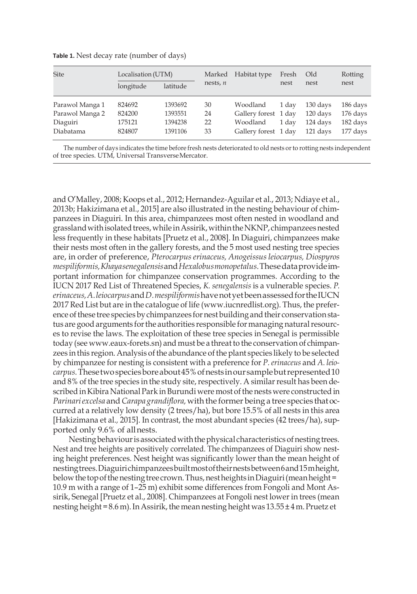| Site            | Localisation (UTM) |          | Marked     | Habitat type         | Fresh | Old      | Rotting  |
|-----------------|--------------------|----------|------------|----------------------|-------|----------|----------|
|                 | longitude          | latitude | nests, $n$ |                      | nest  | nest     | nest     |
| Parawol Manga 1 | 824692             | 1393692  | 30         | Woodland             | 1 day | 130 days | 186 days |
| Parawol Manga 2 | 824200             | 1393551  | 24         | Gallery forest 1 day |       | 120 days | 176 days |
| Diaguiri        | 175121             | 1394238  | 22         | Woodland             | 1 dav | 124 days | 182 days |
| Diabatama       | 824807             | 1391106  | 33         | Gallery forest 1 day |       | 121 days | 177 days |

**Table 1.** Nest decay rate (number of days)

The number of days indicates the time before fresh nests deteriorated to old nests or to rotting nests independent of tree species. UTM, Universal TransverseMercator.

and O'Malley, 2008; Koops et al., 2012; Hernandez-Aguilar et al., 2013; Ndiaye et al., 2013b; Hakizimana et al., 2015] are also illustrated in the nesting behaviour of chimpanzees in Diaguiri. In this area, chimpanzees most often nested in woodland and grassland with isolated trees, while in Assirik, within the NKNP, chimpanzees nested less frequently in these habitats [Pruetz et al., 2008]. In Diaguiri, chimpanzees make their nests most often in the gallery forests, and the 5 most used nesting tree species are, in order of preference, *Pterocarpus erinaceus, Anogeissusleiocarpus, Diospyros mespiliformis,Khayasenegalensis*and*Hexalobusmonopetalus.*Thesedataprovideimportant information for chimpanzee conservation programmes. According to the IUCN 2017 Red List of Threatened Species, *K. senegalensis* is a vulnerable species. *P. erinaceus,A.leiocarpus*and*D.mespiliformis*havenotyetbeenassessedfortheIUCN 2017 Red List but are in the catalogue of life (www.iucnredlist.org). Thus, the preference of these tree species by chimpanzees for nest building and their conservation status are good arguments for the authorities responsible for managing natural resources to revise the laws. The exploitation of these tree species in Senegal is permissible today (see www.eaux-forets.sn) and must be a threat to the conservation of chimpanzees in this region. Analysis of the abundance of the plant species likely to be selected by chimpanzee for nesting is consistent with a preference for *P. erinaceus* and *A. leiocarpus.*Thesetwospeciesboreabout45%ofnestsinoursamplebutrepresented10 and  $8\%$  of the tree species in the study site, respectively. A similar result has been described in Kibira National Park in Burundi were most of the nests were constructed in *Parinariexcelsa* and*Carapa grandiflora,* with the former being a tree species thatoccurred at a relatively low density (2 trees/ha), but bore 15.5% of all nests in this area [Hakizimana et al.*,* 2015]. In contrast, the most abundant species (42 trees/ha), supported only 9.6% of allnests.

Nesting behaviour is associated with the physical characteristics of nesting trees. Nest and tree heights are positively correlated. The chimpanzees of Diaguiri show nesting height preferences. Nest height was significantly lower than the mean height of nestingtrees.Diaguirichimpanzeesbuiltmostoftheirnestsbetween6and15mheight, below the top of the nesting tree crown. Thus, nest heights in Diaguiri (mean height = 10.9 m with a range of 1–25 m) exhibit some differences from Fongoli and Mont Assirik, Senegal [Pruetz et al., 2008]. Chimpanzees at Fongoli nest lower in trees (mean nesting height = 8.6 m). In Assirik, the mean nesting height was  $13.55 \pm 4$  m. Pruetz et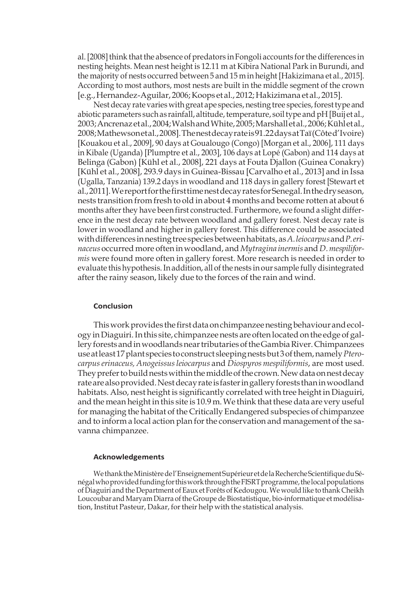al. [2008] think that the absence of predators in Fongoli accounts for the differences in nesting heights. Mean nest height is 12.11 m at Kibira National Park in Burundi, and the majority of nests occurred between 5 and 15 m in height [Hakizimana et al., 2015]. According to most authors, most nests are built in the middle segment of the crown [e.g.,Hernandez-Aguilar, 2006;Koops et al., 2012;Hakizimana et al., 2015].

Nest decay rate varies with great ape species, nesting tree species, forest type and abiotic parameters such as rainfall, altitude, temperature, soil type and pH [Buij et al., 2003;Ancrenazetal.,2004;WalshandWhite,2005;Marshalletal.,2006;Kühletal., 2008;Mathewsonetal.,2008].Thenestdecayrateis91.22daysatTaï(Côted'Ivoire) [Kouakou et al., 2009], 90 days at Goualougo (Congo) [Morgan et al., 2006], 111 days in Kibale (Uganda) [Plumptre et al., 2003], 106 days at Lopé (Gabon) and 114 days at Belinga (Gabon) [Kühl et al., 2008], 221 days at Fouta Djallon (Guinea Conakry) [Kühl et al., 2008], 293.9 days in Guinea-Bissau [Carvalho et al., 2013] and in Issa (Ugalla, Tanzania) 139.2 days in woodland and 118 days in gallery forest [Stewart et al.,2011].WereportforthefirsttimenestdecayratesforSenegal.Inthedryseason, nests transition from fresh to old in about 4 months and become rotten at about 6 months after they have been first constructed. Furthermore, we found a slight difference in the nest decay rate between woodland and gallery forest. Nest decay rate is lower in woodland and higher in gallery forest. This difference could be associated withdifferences innestingtreespeciesbetweenhabitats, as*A.leiocarpus*and*P.erinaceus*occurred more often in woodland, and *Mytragina inermis* and *D.mespiliformis* were found more often in gallery forest. More research is needed in order to evaluate this hypothesis. In addition, all of the nests in our sample fully disintegrated after the rainy season, likely due to the forces of the rain and wind.

### **Conclusion**

This work provides the first data on chimpanzee nesting behaviour and ecology inDiaguiri.Inthis site, chimpanzeenests are oftenlocatedonthe edge of gallery forests and in woodlands near tributaries of the Gambia River. Chimpanzees useatleast17plant species toconstruct sleepingnestsbut3ofthem,namely*Pterocarpuserinaceus, Anogeissusleiocarpus* and *Diospyros mespiliformis*, are most used. They prefer to build nests within the middle of the crown. New data on nest decay ratearealsoprovided.Nestdecayrateis fasteringalleryforests thaninwoodland habitats. Also, nest height is significantly correlated with tree height in Diaguiri, and the mean height in this site is  $10.9$  m. We think that these data are very useful for managing the habitat of the Critically Endangered subspecies of chimpanzee and to inform a local action plan for the conservation and management of the savanna chimpanzee.

### **Acknowledgements**

WethanktheMinistèredel'EnseignementSupérieuretdelaRechercheScientifiqueduSénégal who provided funding for this work through the FISRT programme, the local populations of Diaguiri and the Department of Eaux et Forêts of Kedougou. We would like to thank Cheikh Loucoubar and Maryam Diarra ofthe Groupe de Biostatistique, bio-informatique et modélisation, Institut Pasteur, Dakar, for their help with the statistical analysis.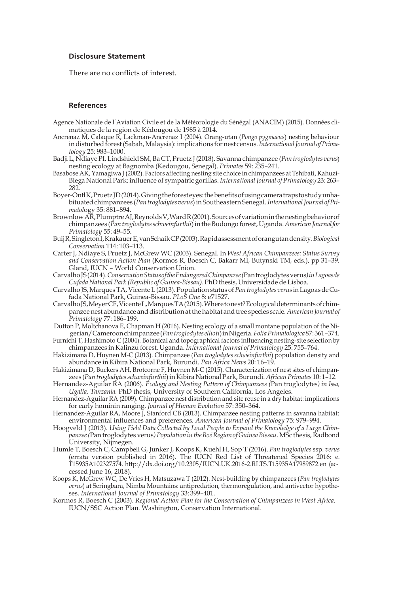# **Disclosure Statement**

There are no conflicts of interest.

### **References**

- Agence Nationale de l'Aviation Civile et de la Météorologie du Sénégal (ANACIM) (2015). Données climatiques de la region de Kédougou de 1985 à 2014.
- Ancrenaz M, Calaque R, Lackman-Ancrenaz I (2004). Orang-utan (*Pongo pygmaeus*) nesting behaviour in disturbed forest (Sabah, Malaysia): implications for nest census. *International Journal of Primatology* 25: 983–1000.
- Badji L, NdiayePI, Lindshield SM,Ba CT, Pruetz J(2018). Savanna chimpanzee (*Pantroglodytes verus*) nesting ecology at Bagnomba (Kedougou, Senegal). *Primates* 59: 235–241*.*
- Basabose AK, Yamagiwa J (2002). Factors affecting nesting site choice in chimpanzees at Tshibati, Kahuzi-Biega National Park: influence of sympatric gorillas. *InternationalJournal of Primatology* 23: 263– 282.
- Boyer-OntlK,PruetzJD(2014).Givingtheforesteyes:thebenefitsofusingcameratrapstostudyunhabituatedchimpanzees (*Pantroglodytesverus*)in Southeastern Senegal.*InternationalJournal ofPrimatol*ogy 35: 881–894.
- BrownlowAR,PlumptreAJ,ReynoldsV,WardR(2001).Sourcesofvariationinthenestingbehaviorof chimpanzees (*Pantroglodytesschweinfurthii*)intheBudongo forest,Uganda.*AmericanJournalfor Primatology* 55: 49–55.
- BuijR,SingletonI,KrakauerE,vanSchaikCP(2003).Rapidassessmentoforangutandensity.*Biological Conservation* 114: 103–113.
- Carter J, Ndiaye S, Pruetz J, McGrew WC (2003). Senegal. In *West African Chimpanzees: Status Survey and Conservation Action Plan* (Kormos R, Boesch C, Bakarr MI, Butynski TM, eds.), pp 31–39. Gland, IUCN - World Conservation Union.
- CarvalhoJS(2014).*ConservationStatusoftheEndangeredChimpanzee(*Pantroglodytesverus*)inLagoasde CufadaNational Park (Republic of Guinea-Bissau).*PhDthesis,Universidade deLisboa.
- Carvalho JS,MarquesTA,VicenteL(2013).Population statusof*Pantroglodytesverus*inLagoasdeCufada National Park, Guinea-Bissau. *PLoS One* 8: e71527.
- CarvalhoJS,MeyerCF,VicenteL,MarquesTA(2015).Wheretonest?Ecologicaldeterminantsofchimpanzee nest abundance and distribution at the habitat and tree species scale. American Journal of *Primatology* 77: 186–199.
- Dutton P, Moltchanova E, Chapman H (2016). Nesting ecology of a small montane population of the Nigerian/Cameroonchimpanzee(*Pantroglodytesellioti*)inNigeria.*FoliaPrimatologica*87:361–374.
- Furnichi T, Hashimoto C (2004). Botanical and topographical factors influencing nesting-site selection by chimpanzees in Kalinzu forest, Uganda. *International Journal of Primatology* 25: 755–764.
- Hakizimana D, Huynen M-C (2013). Chimpanzee (*Pan troglodytes schweinfurthii*) population density and abundance in Kibira National Park, Burundi. *Pan Africa News* 20: 16–19.
- Hakizimana D, Buckers AH, Brotcorne F, Huynen M-C (2015). Characterization of nest sites of chimpanzees (*Pan troglodytesschweinfurthii*)in Kibira NationalPark, Burundi. *AfricanPrimates* 10: 1–12.
- Hernandez-Aguilar RA (2006). *Ecology and Nesting Pattern of Chimpanzees (*Pan troglodytes*) in Issa, Ugalla, Tanzania.* PhD thesis, University of Southern California, Los Angeles.
- Hernandez-Aguilar RA (2009). Chimpanzee nest distribution and site reuse in a dry habitat: implications for early hominin ranging. *Journal of Human Evolution* 57: 350–364.
- Hernandez-Aguilar RA, Moore J, Stanford CB (2013). Chimpanzee nesting patterns in savanna habitat: environmental influences and preferences. *American Journal of Primatology* 75: 979–994.
- Hoogveld J (2013). *Using Field Data Collected by Local People to Expand the Knowledge of a Large Chimpanzee* (Pan troglodytes verus) Population in the Boé Region of Guinea Bissau. MSc thesis, Radbond University, Nijmegen.
- Humle T, Boesch C, Campbell G, Junker J, Koops K, Kuehl H, Sop T (2016). *Pan troglodytes* ssp. *verus*  (errata version published in 2016). The IUCN Red List of Threatened Species 2016: e. T15935A102327574[. http://dx.doi.org/10.2305/IUCN.UK.2016-2.RLTS.T15935A17989872.en](http://dx.doi.org/10.2305/IUCN.UK.2016-2.RLTS.T15935A17989872.en) (accessed June 16, 2018).
- Koops K, McGrew WC, De Vries H, Matsuzawa T (2012). Nest-building by chimpanzees (*Pan troglodytes verus*) at Seringbara, Nimba Mountains: antipredation, thermoregulation, and antivector hypotheses. *International Journal of Primatology* 33: 399–401.
- Kormos R, Boesch C (2003). *Regional Action Plan for the Conservation of Chimpanzees in West Africa.* IUCN/SSC Action Plan. Washington, Conservation International.